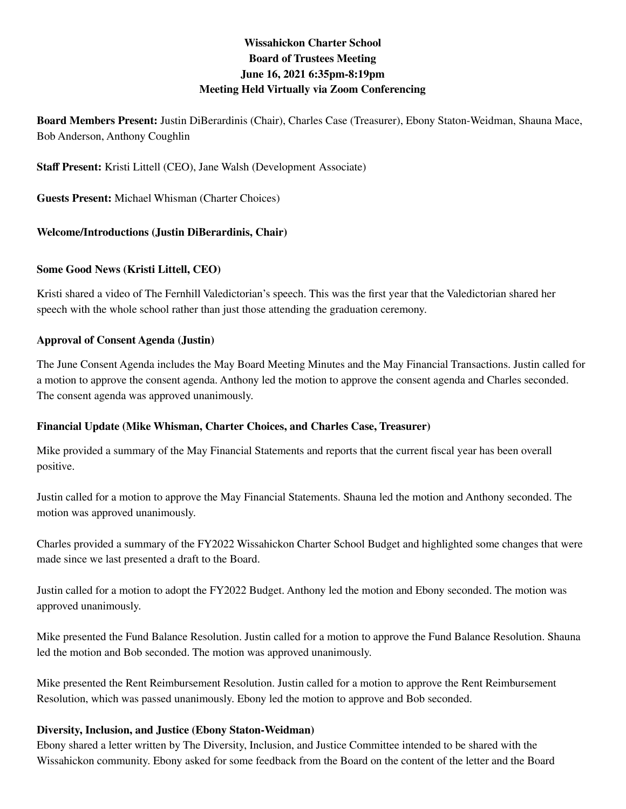# **Wissahickon Charter School Board of Trustees Meeting June 16, 2021 6:35pm-8:19pm Meeting Held Virtually via Zoom Conferencing**

**Board Members Present:** Justin DiBerardinis (Chair), Charles Case (Treasurer), Ebony Staton-Weidman, Shauna Mace, Bob Anderson, Anthony Coughlin

**Staff Present:** Kristi Littell (CEO), Jane Walsh (Development Associate)

**Guests Present:** Michael Whisman (Charter Choices)

### **Welcome/Introductions (Justin DiBerardinis, Chair)**

#### **Some Good News (Kristi Littell, CEO)**

Kristi shared a video of The Fernhill Valedictorian's speech. This was the first year that the Valedictorian shared her speech with the whole school rather than just those attending the graduation ceremony.

#### **Approval of Consent Agenda (Justin)**

The June Consent Agenda includes the May Board Meeting Minutes and the May Financial Transactions. Justin called for a motion to approve the consent agenda. Anthony led the motion to approve the consent agenda and Charles seconded. The consent agenda was approved unanimously.

### **Financial Update (Mike Whisman, Charter Choices, and Charles Case, Treasurer)**

Mike provided a summary of the May Financial Statements and reports that the current fiscal year has been overall positive.

Justin called for a motion to approve the May Financial Statements. Shauna led the motion and Anthony seconded. The motion was approved unanimously.

Charles provided a summary of the FY2022 Wissahickon Charter School Budget and highlighted some changes that were made since we last presented a draft to the Board.

Justin called for a motion to adopt the FY2022 Budget. Anthony led the motion and Ebony seconded. The motion was approved unanimously.

Mike presented the Fund Balance Resolution. Justin called for a motion to approve the Fund Balance Resolution. Shauna led the motion and Bob seconded. The motion was approved unanimously.

Mike presented the Rent Reimbursement Resolution. Justin called for a motion to approve the Rent Reimbursement Resolution, which was passed unanimously. Ebony led the motion to approve and Bob seconded.

#### **Diversity, Inclusion, and Justice (Ebony Staton-Weidman)**

Ebony shared a letter written by The Diversity, Inclusion, and Justice Committee intended to be shared with the Wissahickon community. Ebony asked for some feedback from the Board on the content of the letter and the Board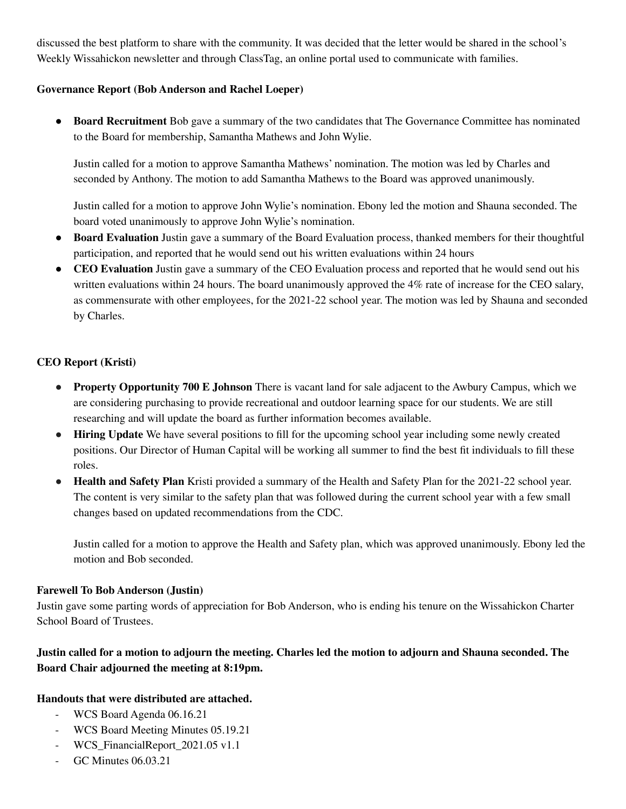discussed the best platform to share with the community. It was decided that the letter would be shared in the school's Weekly Wissahickon newsletter and through ClassTag, an online portal used to communicate with families.

### **Governance Report (Bob Anderson and Rachel Loeper)**

**● Board Recruitment** Bob gave a summary of the two candidates that The Governance Committee has nominated to the Board for membership, Samantha Mathews and John Wylie.

Justin called for a motion to approve Samantha Mathews' nomination. The motion was led by Charles and seconded by Anthony. The motion to add Samantha Mathews to the Board was approved unanimously.

Justin called for a motion to approve John Wylie's nomination. Ebony led the motion and Shauna seconded. The board voted unanimously to approve John Wylie's nomination.

- **● Board Evaluation** Justin gave a summary of the Board Evaluation process, thanked members for their thoughtful participation, and reported that he would send out his written evaluations within 24 hours
- **● CEO Evaluation** Justin gave a summary of the CEO Evaluation process and reported that he would send out his written evaluations within 24 hours. The board unanimously approved the 4% rate of increase for the CEO salary, as commensurate with other employees, for the 2021-22 school year. The motion was led by Shauna and seconded by Charles.

## **CEO Report (Kristi)**

- **● Property Opportunity 700 E Johnson** There is vacant land for sale adjacent to the Awbury Campus, which we are considering purchasing to provide recreational and outdoor learning space for our students. We are still researching and will update the board as further information becomes available.
- **● Hiring Update** We have several positions to fill for the upcoming school year including some newly created positions. Our Director of Human Capital will be working all summer to find the best fit individuals to fill these roles.
- **Health and Safety Plan** Kristi provided a summary of the Health and Safety Plan for the 2021-22 school year. The content is very similar to the safety plan that was followed during the current school year with a few small changes based on updated recommendations from the CDC.

Justin called for a motion to approve the Health and Safety plan, which was approved unanimously. Ebony led the motion and Bob seconded.

### **Farewell To Bob Anderson (Justin)**

Justin gave some parting words of appreciation for Bob Anderson, who is ending his tenure on the Wissahickon Charter School Board of Trustees.

# Justin called for a motion to adjourn the meeting. Charles led the motion to adjourn and Shauna seconded. The **Board Chair adjourned the meeting at 8:19pm.**

## **Handouts that were distributed are attached.**

- WCS Board Agenda 06.16.21
- WCS Board Meeting Minutes 05.19.21
- WCS\_FinancialReport\_2021.05 v1.1
- GC Minutes 06.03.21